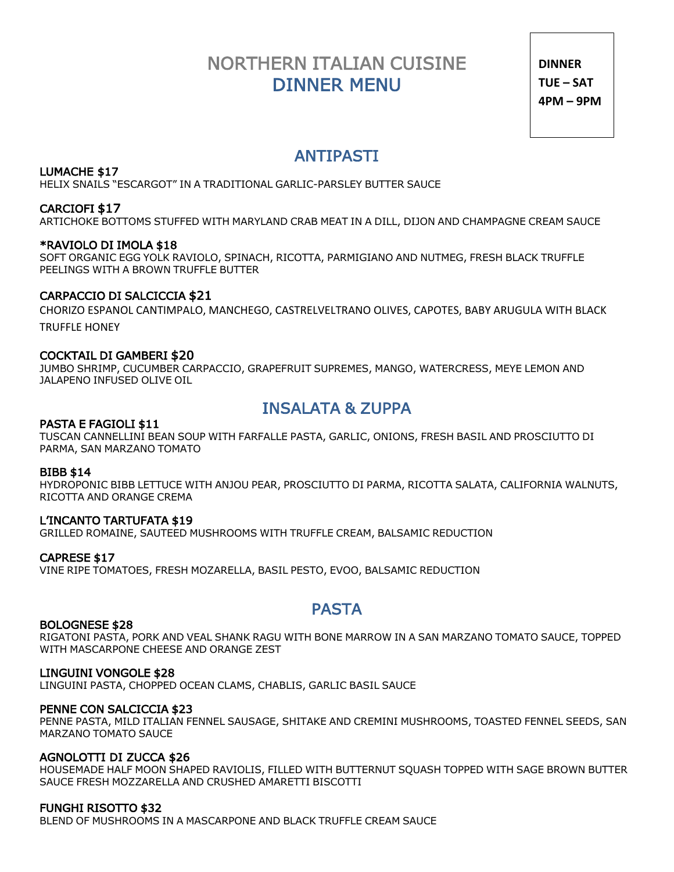# NORTHERN ITALIAN CUISINE DINNER MENU

**DINNER TUE – SAT 4PM – 9PM**

# ANTIPASTI LUMACHE \$17

HELIX SNAILS "ESCARGOT" IN A TRADITIONAL GARLIC-PARSLEY BUTTER SAUCE

### CARCIOFI \$17

ARTICHOKE BOTTOMS STUFFED WITH MARYLAND CRAB MEAT IN A DILL, DIJON AND CHAMPAGNE CREAM SAUCE

### \*RAVIOLO DI IMOLA \$18

SOFT ORGANIC EGG YOLK RAVIOLO, SPINACH, RICOTTA, PARMIGIANO AND NUTMEG, FRESH BLACK TRUFFLE PEELINGS WITH A BROWN TRUFFLE BUTTER

### CARPACCIO DI SALCICCIA \$21

CHORIZO ESPANOL CANTIMPALO, MANCHEGO, CASTRELVELTRANO OLIVES, CAPOTES, BABY ARUGULA WITH BLACK TRUFFLE HONEY

### COCKTAIL DI GAMBERI \$20

JUMBO SHRIMP, CUCUMBER CARPACCIO, GRAPEFRUIT SUPREMES, MANGO, WATERCRESS, MEYE LEMON AND JALAPENO INFUSED OLIVE OIL

# INSALATA & ZUPPA PASTA E FAGIOLI \$11

TUSCAN CANNELLINI BEAN SOUP WITH FARFALLE PASTA, GARLIC, ONIONS, FRESH BASIL AND PROSCIUTTO DI PARMA, SAN MARZANO TOMATO

#### BIBB \$14

HYDROPONIC BIBB LETTUCE WITH ANJOU PEAR, PROSCIUTTO DI PARMA, RICOTTA SALATA, CALIFORNIA WALNUTS, RICOTTA AND ORANGE CREMA

#### L'INCANTO TARTUFATA \$19

GRILLED ROMAINE, SAUTEED MUSHROOMS WITH TRUFFLE CREAM, BALSAMIC REDUCTION

#### CAPRESE \$17

VINE RIPE TOMATOES, FRESH MOZARELLA, BASIL PESTO, EVOO, BALSAMIC REDUCTION

# PASTA BOLOGNESE \$28

RIGATONI PASTA, PORK AND VEAL SHANK RAGU WITH BONE MARROW IN A SAN MARZANO TOMATO SAUCE, TOPPED WITH MASCARPONE CHEESE AND ORANGE ZEST

#### LINGUINI VONGOLE \$28

LINGUINI PASTA, CHOPPED OCEAN CLAMS, CHABLIS, GARLIC BASIL SAUCE

#### PENNE CON SALCICCIA \$23

PENNE PASTA, MILD ITALIAN FENNEL SAUSAGE, SHITAKE AND CREMINI MUSHROOMS, TOASTED FENNEL SEEDS, SAN MARZANO TOMATO SAUCE

#### AGNOLOTTI DI ZUCCA \$26

HOUSEMADE HALF MOON SHAPED RAVIOLIS, FILLED WITH BUTTERNUT SQUASH TOPPED WITH SAGE BROWN BUTTER SAUCE FRESH MOZZARELLA AND CRUSHED AMARETTI BISCOTTI

### FUNGHI RISOTTO \$32

BLEND OF MUSHROOMS IN A MASCARPONE AND BLACK TRUFFLE CREAM SAUCE